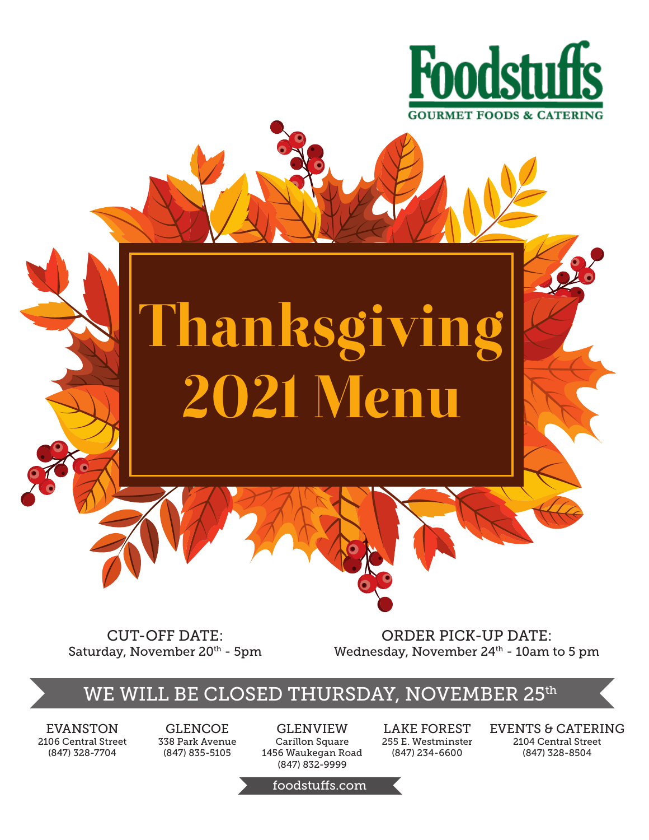

# Thanksgivi 2021 Menu

CUT-OFF DATE: Saturday, November 20<sup>th</sup> - 5pm

ORDER PICK-UP DATE: Wednesday, November 24<sup>th</sup> - 10am to 5 pm

## WE WILL BE CLOSED THURSDAY, NOVEMBER 25th

EVANSTON 2106 Central Street (847) 328-7704

GLENCOE 338 Park Avenue (847) 835-5105

GLENVIEW Carillon Square 1456 Waukegan Road (847) 832-9999

LAKE FOREST 255 E. Westminster (847) 234-6600

EVENTS & CATERING 2104 Central Street (847) 328-8504

foodstuffs.com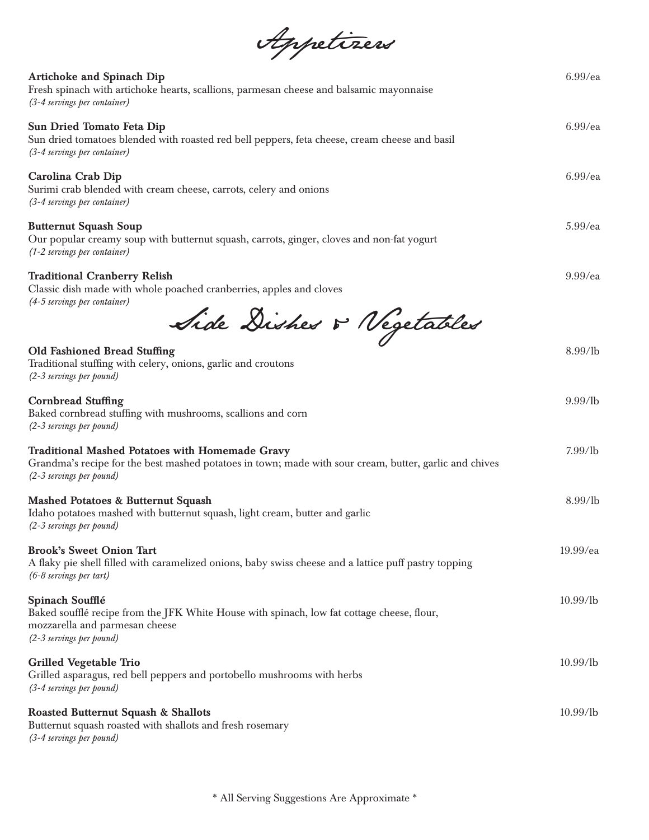| Appetizers                                                                                                                                                                            |             |
|---------------------------------------------------------------------------------------------------------------------------------------------------------------------------------------|-------------|
| <b>Artichoke and Spinach Dip</b><br>Fresh spinach with artichoke hearts, scallions, parmesan cheese and balsamic mayonnaise<br>(3-4 servings per container)                           | $6.99$ /ea  |
| Sun Dried Tomato Feta Dip<br>Sun dried tomatoes blended with roasted red bell peppers, feta cheese, cream cheese and basil<br>(3-4 servings per container)                            | $6.99$ /ea  |
| Carolina Crab Dip<br>Surimi crab blended with cream cheese, carrots, celery and onions<br>(3-4 servings per container)                                                                | $6.99$ /ea  |
| <b>Butternut Squash Soup</b><br>Our popular creamy soup with butternut squash, carrots, ginger, cloves and non-fat yogurt<br>(1-2 servings per container)                             | $5.99$ /ea  |
| <b>Traditional Cranberry Relish</b><br>Classic dish made with whole poached cranberries, apples and cloves<br>(4-5 servings per container)                                            | $9.99$ /ea  |
| Side Disher & Vegetables                                                                                                                                                              |             |
| <b>Old Fashioned Bread Stuffing</b><br>Traditional stuffing with celery, onions, garlic and croutons<br>(2-3 servings per pound)                                                      | 8.99/lb     |
| <b>Cornbread Stuffing</b><br>Baked cornbread stuffing with mushrooms, scallions and corn<br>(2-3 servings per pound)                                                                  | $9.99$ /lb  |
| Traditional Mashed Potatoes with Homemade Gravy<br>Grandma's recipe for the best mashed potatoes in town; made with sour cream, butter, garlic and chives<br>(2-3 servings per pound) | $7.99$ /lb  |
| Mashed Potatoes & Butternut Squash<br>Idaho potatoes mashed with butternut squash, light cream, butter and garlic<br>(2-3 servings per pound)                                         | 8.99/lb     |
| <b>Brook's Sweet Onion Tart</b><br>A flaky pie shell filled with caramelized onions, baby swiss cheese and a lattice puff pastry topping<br>(6-8 servings per tart)                   | $19.99$ /ea |
| Spinach Soufflé<br>Baked soufflé recipe from the JFK White House with spinach, low fat cottage cheese, flour,<br>mozzarella and parmesan cheese<br>(2-3 servings per pound)           | $10.99$ /lb |
| Grilled Vegetable Trio<br>Grilled asparagus, red bell peppers and portobello mushrooms with herbs<br>(3-4 servings per pound)                                                         | $10.99$ /lb |
| Roasted Butternut Squash & Shallots<br>Butternut squash roasted with shallots and fresh rosemary<br>(3-4 servings per pound)                                                          | $10.99$ /lb |

\* All Serving Suggestions Are Approximate \*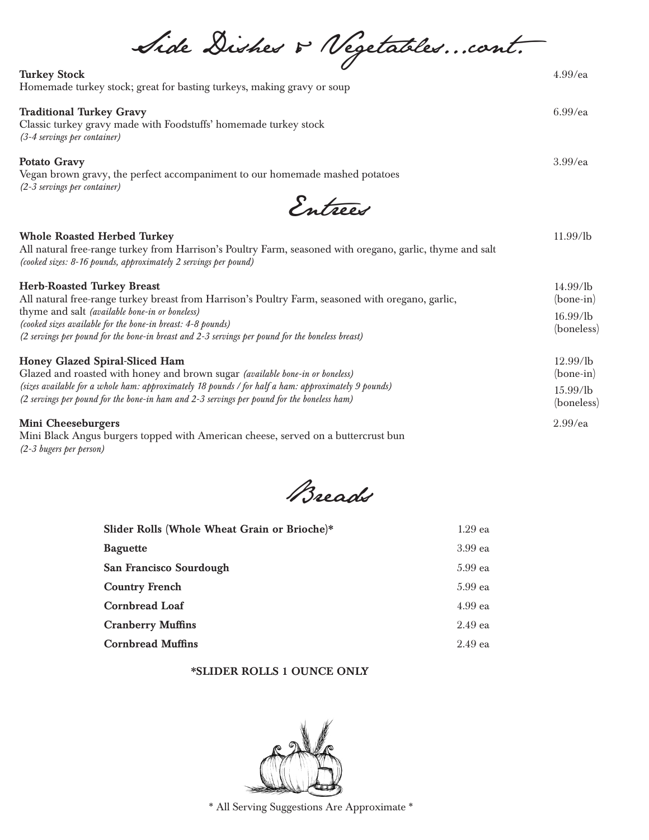Side Dishes & Vegetables...cont. Turkey Stock 4.99/ea

| Homemade turkey stock; great for basting turkeys, making gravy or soup |  |
|------------------------------------------------------------------------|--|

#### Traditional Turkey Gravy 6.99/ea

Classic turkey gravy made with Foodstuffs' homemade turkey stock *(3-4 servings per container)*

#### Potato Gravy 3.99/ea

Vegan brown gravy, the perfect accompaniment to our homemade mashed potatoes *(2-3 servings per container)*

Entrees

#### Whole Roasted Herbed Turkey 2008 and the United States of the United States 2008 and 11.99/lb

All natural free-range turkey from Harrison's Poultry Farm, seasoned with oregano, garlic, thyme and salt *(cooked sizes: 8-16 pounds, approximately 2 servings per pound)*

| <b>Herb-Roasted Turkey Breast</b>                                                                                                                                                                                                                                                                                             | $14.99$ /lb                           |
|-------------------------------------------------------------------------------------------------------------------------------------------------------------------------------------------------------------------------------------------------------------------------------------------------------------------------------|---------------------------------------|
| All natural free-range turkey breast from Harrison's Poultry Farm, seasoned with oregano, garlic,<br>thyme and salt <i>(available bone-in or boneless)</i><br>(cooked sizes available for the bone-in breast: 4-8 pounds)<br>(2 servings per pound for the bone-in breast and 2-3 servings per pound for the boneless breast) | $(bone-in)$<br>16.99/lb<br>(boneless) |
| Honey Glazed Spiral-Sliced Ham<br>Glazed and roasted with honey and brown sugar (available bone-in or boneless)                                                                                                                                                                                                               | 12.99/1 <sub>b</sub><br>$(bone-in)$   |
| (sizes available for a whole ham: approximately 18 pounds / for half a ham: approximately 9 pounds)<br>(2 servings per pound for the bone-in ham and 2-3 servings per pound for the boneless ham)                                                                                                                             | $15.99/$ lb<br>(boneless)             |
| Mini Cheeseburgers                                                                                                                                                                                                                                                                                                            | $2.99$ /ea                            |

Mini Black Angus burgers topped with American cheese, served on a buttercrust bun *(2-3 bugers per person)* 

Breads

| Slider Rolls (Whole Wheat Grain or Brioche)* | $1.29$ ea |
|----------------------------------------------|-----------|
| <b>Baguette</b>                              | $3.99$ ea |
| San Francisco Sourdough                      | $5.99$ ea |
| <b>Country French</b>                        | $5.99$ ea |
| <b>Cornbread Loaf</b>                        | $4.99$ ea |
| <b>Cranberry Muffins</b>                     | $2.49$ ea |
| <b>Cornbread Muffins</b>                     | $2.49$ ea |

### \*SLIDER ROLLS 1 OUNCE ONLY



\* All Serving Suggestions Are Approximate \*